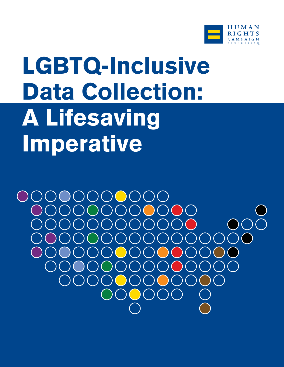

# LGBTQ-Inclusive Data Collection: A Lifesaving Imperative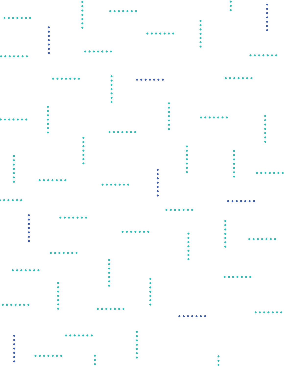

 $\bullet$   $\bullet$ 

**POPPER** 

 $\bullet\hspace{0.1cm} \bullet\hspace{0.1cm} \bullet\hspace{0.1cm} \bullet\hspace{0.1cm} \bullet\hspace{0.1cm} \bullet$ 

**POPULATION** 



 $\bullet$  $\bullet$  $\bullet$   $\bullet$   $\bullet$   $\bullet\bullet$ 

**POPPER** 

 $\bullet\bullet\bullet$ 

 $\bullet$ 

**.......** 

 $\bullet\hspace{0.1cm} \bullet\hspace{0.1cm} \bullet\hspace{0.1cm} \bullet\hspace{0.1cm} \bullet\hspace{0.1cm} \bullet$ 

**......** 





















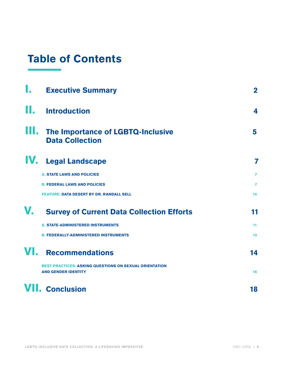# Table of Contents

|    | <b>Executive Summary</b>                                                                    | $\mathbf 2$     |
|----|---------------------------------------------------------------------------------------------|-----------------|
| n. | <b>Introduction</b>                                                                         | 4               |
|    | <b>III.</b> The Importance of LGBTQ-Inclusive<br><b>Data Collection</b>                     | 5               |
|    | <b>IV.</b> Legal Landscape                                                                  | 7               |
|    | <b>A. STATE LAWS AND POLICIES</b>                                                           | $\overline{7}$  |
|    | <b>B. FEDERAL LAWS AND POLICIES</b>                                                         | $\overline{7}$  |
|    | <b>FEATURE: DATA DESERT BY DR. RANDALL SELL</b>                                             | 10 <sup>1</sup> |
| V. | <b>Survey of Current Data Collection Efforts</b>                                            | 11              |
|    | <b>A. STATE-ADMINISTERED INSTRUMENTS</b>                                                    | 11              |
|    | <b>B. FEDERALLY-ADMINISTERED INSTRUMENTS</b>                                                | 13              |
|    | <b>VI.</b> Recommendations                                                                  | 14              |
|    | <b>BEST PRACTICES: ASKING QUESTIONS ON SEXUAL ORIENTATION</b><br><b>AND GENDER IDENTITY</b> | 16              |
|    | <b>VII. Conclusion</b>                                                                      | 18              |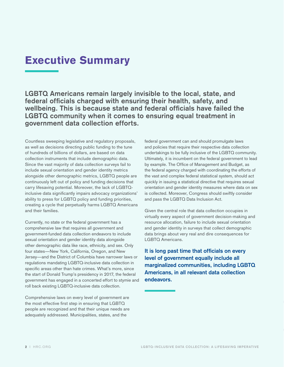# Executive Summary

**LGBTQ Americans remain largely invisible to the local, state, and federal officials charged with ensuring their health, safety, and wellbeing. This is because state and federal officials have failed the LGBTQ community when it comes to ensuring equal treatment in government data collection efforts.**

Countless sweeping legislative and regulatory proposals, as well as decisions directing public funding to the tune of hundreds of billions of dollars, are based on data collection instruments that include demographic data. Since the vast majority of data collection surveys fail to include sexual orientation and gender identity metrics alongside other demographic metrics, LGBTQ people are continuously left out of policy and funding decisions that carry lifesaving potential. Moreover, the lack of LGBTQinclusive data significantly impairs advocacy organizations' ability to press for LGBTQ policy and funding priorities, creating a cycle that perpetually harms LGBTQ Americans and their families.

Currently, no state or the federal government has a comprehensive law that requires all government and government-funded data collection endeavors to include sexual orientation and gender identity data alongside other demographic data like race, ethnicity, and sex. Only four states—New York, California, Oregon, and New Jersey—and the District of Columbia have narrower laws or regulations mandating LGBTQ-inclusive data collection in specific areas other than hate crimes. What's more, since the start of Donald Trump's presidency in 2017, the federal government has engaged in a concerted effort to stymie and roll back existing LGBTQ-inclusive data collection.

Comprehensive laws on every level of government are the most effective first step in ensuring that LGBTQ people are recognized and that their unique needs are adequately addressed. Municipalities, states, and the

federal government can and should promulgate laws and policies that require their respective data collection undertakings to be fully inclusive of the LGBTQ community. Ultimately, it is incumbent on the federal government to lead by example. The Office of Management and Budget, as the federal agency charged with coordinating the efforts of the vast and complex federal statistical system, should act quickly in issuing a statistical directive that requires sexual orientation and gender identity measures where data on sex is collected. Moreover, Congress should swiftly consider and pass the LGBTQ Data Inclusion Act.

Given the central role that data collection occupies in virtually every aspect of government decision-making and resource allocation, failure to include sexual orientation and gender identity in surveys that collect demographic data brings about very real and dire consequences for LGBTQ Americans.

**It is long past time that officials on every level of government equally include all marginalized communities, including LGBTQ Americans, in all relevant data collection endeavors.**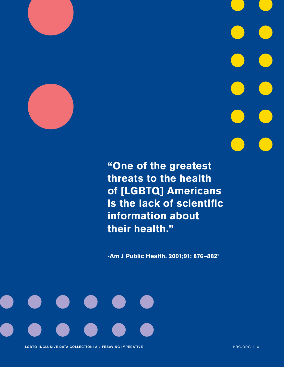

"One of the greatest threats to the health of [LGBTQ] Americans is the lack of scientific information about their health."

-Am J Public Health. 2001;91: 876–8821



 **LGBTQ-INCLUSIVE DATA COLLECTION: A LIFESAVING IMPERATIVE** HRC.ORG **| 3 LGBTQ-INCLUSIVE DATA COLLECTION: A LIFESAVING IMPERATIVE**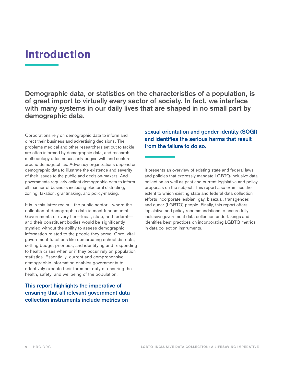# Introduction

**Demographic data, or statistics on the characteristics of a population, is of great import to virtually every sector of society. In fact, we interface with many systems in our daily lives that are shaped in no small part by demographic data.** 

Corporations rely on demographic data to inform and direct their business and advertising decisions. The problems medical and other researchers set out to tackle are often informed by demographic data, and research methodology often necessarily begins with and centers around demographics. Advocacy organizations depend on demographic data to illustrate the existence and severity of their issues to the public and decision-makers. And governments regularly collect demographic data to inform all manner of business including electoral districting, zoning, taxation, grantmaking, and policy-making.

It is in this latter realm—the public sector—where the collection of demographic data is most fundamental. Governments of every tier—local, state, and federal and their constituent bodies would be significantly stymied without the ability to assess demographic information related to the people they serve. Core, vital government functions like demarcating school districts, setting budget priorities, and identifying and responding to health crises when or if they occur rely on population statistics. Essentially, current and comprehensive demographic information enables governments to effectively execute their foremost duty of ensuring the health, safety, and wellbeing of the population.

### **This report highlights the imperative of ensuring that all relevant government data collection instruments include metrics on**

**sexual orientation and gender identity (SOGI) and identifies the serious harms that result from the failure to do so.**

It presents an overview of existing state and federal laws and policies that expressly mandate LGBTQ-inclusive data collection as well as past and current legislative and policy proposals on the subject. This report also examines the extent to which existing state and federal data collection efforts incorporate lesbian, gay, bisexual, transgender, and queer (LGBTQ) people. Finally, this report offers legislative and policy recommendations to ensure fullyinclusive government data collection undertakings and identifies best practices on incorporating LGBTQ metrics in data collection instruments.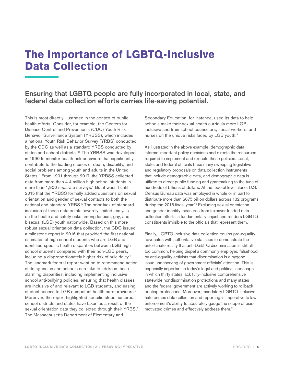# The Importance of LGBTQ-Inclusive Data Collection

### **Ensuring that LGBTQ people are fully incorporated in local, state, and federal data collection efforts carries life-saving potential.**

This is most directly illustrated in the context of public health efforts. Consider, for example, the Centers for Disease Control and Prevention's (CDC) Youth Risk Behavior Surveillance System (YRBSS), which includes a national Youth Risk Behavior Survey (YRBS) conducted by the CDC as well as a standard YRBS conducted by states and school districts. <sup>2</sup> The YRBSS was developed in 1990 to monitor health risk behaviors that significantly contribute to the leading causes of death, disability, and social problems among youth and adults in the United States.3 From 1991 through 2017, the YRBSS collected data from more than 4.4 million high school students in more than 1,900 separate surveys.4 But it wasn't until 2015 that the YRBSS formally added questions on sexual orientation and gender of sexual contacts to both the national and standard YRBS.<sup>5</sup> The prior lack of standard inclusion of these data points severely limited analysis on the health and safety risks among lesbian, gay, and bisexual (LGB) youth nationwide. Based on this more robust sexual orientation data collection, the CDC issued a milestone report in 2016 that provided the first national estimates of high school students who are LGB and identified specific health disparities between LGB high school students compared with their non-LGB peers, including a disproportionately higher risk of suicidality.6 The landmark federal report went on to recommend action state agencies and schools can take to address these alarming disparities, including implementing inclusive school anti-bullying policies, ensuring that health classes are inclusive of and relevant to LGB students, and easing student access to LGB competent health care providers.<sup>7</sup> Moreover, the report highlighted specific steps numerous school districts and states have taken as a result of the sexual orientation data they collected through their YRBS.<sup>8</sup> The Massachusetts Department of Elementary and

Secondary Education, for instance, used its data to help schools make their sexual health curricula more LGBinclusive and train school counselors, social workers, and nurses on the unique risks faced by LGB youth.<sup>9</sup>

As illustrated in the above example, demographic data informs important policy decisions and directs the resources required to implement and execute these policies. Local, state, and federal officials base many sweeping legislative and regulatory proposals on data collection instruments that include demographic data, and demographic data is utilized to direct public funding and grantmaking to the tune of hundreds of billions of dollars. At the federal level alone, U.S. Census Bureau data was employed in whole or in part to distribute more than \$675 billion dollars across 132 programs during the 2015 fiscal year.<sup>10</sup> Excluding sexual orientation and gender identity measures from taxpayer-funded data collection efforts is fundamentally unjust and renders LGBTQ constituents invisible to the officials that represent them.

Finally, LGBTQ-inclusive data collection equips pro-equality advocates with authoritative statistics to demonstrate the unfortunate reality that anti-LGBTQ discrimination is still all too common, helping dispel a commonly employed falsehood by anti-equality activists that discrimination is a bygone issue undeserving of government officials' attention. This is especially important in today's legal and political landscape in which thirty states lack fully-inclusive comprehensive statewide nondiscrimination protections and many states and the federal government are actively working to rollback existing protections. Moreover, mandatory LGBTQ-inclusive hate crimes data collection and reporting is imperative to law enforcement's ability to accurately gauge the scope of biasmotivated crimes and effectively address them.11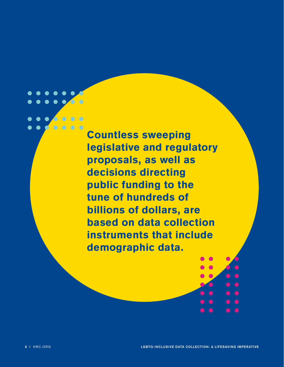Countless sweeping legislative and regulatory proposals, as well as decisions directing public funding to the tune of hundreds of billions of dollars, are based on data collection instruments that include demographic data.

 $\bullet\hspace{0.2cm} \bullet\hspace{0.2cm} \bullet\hspace{0.2cm} \bullet\hspace{0.2cm} \bullet\hspace{0.2cm} \bullet\hspace{0.2cm} \bullet\hspace{0.2cm} \bullet\hspace{0.2cm} \bullet$  $\bullet\bullet\bullet\bullet\bullet\bullet$ 

 $\begin{array}{ccccccccccccccccc} \bullet & \bullet & \bullet & \bullet & \bullet & \bullet & \bullet & \bullet \end{array}$  $\bullet$   $\bullet$   $\bullet$   $\bullet$   $\bullet$   $\bullet$ 

 $\bullet$   $\bullet$  $\bullet$ 

 $\bullet$   $\bullet$ 

 $\bullet$   $\bullet$ 

 $\bullet\bullet$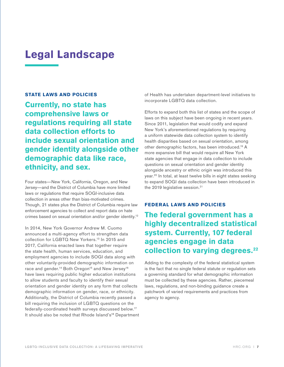# Legal Landscape

### STATE LAWS AND POLICIES

Currently, no state has comprehensive laws or regulations requiring all state data collection efforts to include sexual orientation and gender identity alongside other demographic data like race, ethnicity, and sex.

Four states—New York, California, Oregon, and New Jersey—and the District of Columbia have more limited laws or regulations that require SOGI-inclusive data collection in areas other than bias-motivated crimes. Though, 21 states plus the District of Columbia require law enforcement agencies to collect and report data on hate crimes based on sexual orientation and/or gender identity.12

In 2014, New York Governor Andrew M. Cuomo announced a multi-agency effort to strengthen data collection for LGBTQ New Yorkers.13 In 2015 and 2017, California enacted laws that together require the state health, human services, education, and employment agencies to include SOGI data along with other voluntarily-provided demographic information on race and gender.<sup>14</sup> Both Oregon<sup>15</sup> and New Jersey<sup>16</sup> have laws requiring public higher education institutions to allow students and faculty to identify their sexual orientation and gender identity on any form that collects demographic information on gender, race, or ethnicity. Additionally, the District of Columbia recently passed a bill requiring the inclusion of LGBTQ questions on the federally-coordinated health surveys discussed below.17 It should also be noted that Rhode Island's<sup>18</sup> Department of Health has undertaken department-level initiatives to incorporate LGBTQ data collection.

Efforts to expand both this list of states and the scope of laws on this subject have been ongoing in recent years. Since 2011, legislation that would codify and expand New York's aforementioned regulations by requiring a uniform statewide data collection system to identify health disparities based on sexual orientation, among other demographic factors, has been introduced.19 A more expansive bill that would require all New York state agencies that engage in data collection to include questions on sexual orientation and gender identity alongside ancestry or ethnic origin was introduced this year.20 In total, at least twelve bills in eight states seeking to expand SOGI data collection have been introduced in the 2019 legislative session.<sup>21</sup>

#### FEDERAL LAWS AND POLICIES

The federal government has a highly decentralized statistical system. Currently, 107 federal agencies engage in data collection to varying degrees.<sup>22</sup>

Adding to the complexity of the federal statistical system is the fact that no single federal statute or regulation sets a governing standard for what demographic information must be collected by these agencies. Rather, piecemeal laws, regulations, and non-binding guidance create a patchwork of varied requirements and practices from agency to agency.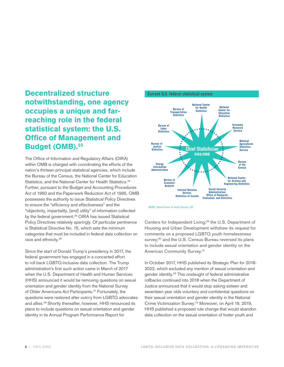### Decentralized structure notwithstanding, one agency occupies a unique and farreaching role in the federal statistical system: the U.S. Office of Management and Budget (OMB).<sup>23</sup>

The Office of Information and Regulatory Affairs (OIRA) within OMB is charged with coordinating the efforts of the nation's thirteen principal statistical agencies, which include the Bureau of the Census, the National Center for Education Statistics, and the National Center for Health Statistics.<sup>24</sup> Further, pursuant to the Budget and Accounting Procedures Act of 1950 and the Paperwork Reduction Act of 1995, OMB possesses the authority to issue Statistical Policy Directives to ensure the "efficiency and effectiveness" and the "objectivity, impartiality, [and] utility" of information collected by the federal government.<sup>25</sup> OIRA has issued Statistical Policy Directives relatively sparingly. Of particular pertinence is Statistical Directive No. 15, which sets the minimum categories that must be included in federal data collection on race and ethnicity.26

Since the start of Donald Trump's presidency in 2017, the federal government has engaged in a concerted effort to roll back LGBTQ-inclusive data collection. The Trump administration's first such action came in March of 2017 when the U.S. Department of Health and Human Services (HHS) announced it would be removing questions on sexual orientation and gender identity from the National Survey of Older Americans Act Participants.<sup>27</sup> Fortunately, the questions were restored after outcry from LGBTQ advocates and allies.28 Shortly thereafter, however, HHS renounced its plans to include questions on sexual orientation and gender identity in its Annual Program Performance Report for





Current U.S. federal statistical system

Centers for Independent Living;<sup>29</sup> the U.S. Department of Housing and Urban Development withdrew its request for comments on a proposed LGBTQ youth homelessness survey;<sup>30</sup> and the U.S. Census Bureau reversed its plans to include sexual orientation and gender identity on the American Community Survey.31

In October 2017, HHS published its Strategic Plan for 2018- 2022, which excluded any mention of sexual orientation and gender identity.32 This onslaught of federal administrative rollbacks continued into 2018 when the Department of Justice announced that it would stop asking sixteen and seventeen year olds voluntary and confidential questions on their sexual orientation and gender identity in the National Crime Victimization Survey.<sup>33</sup> Moreover, on April 19, 2019, HHS published a proposed rule change that would abandon data collection on the sexual orientation of foster youth and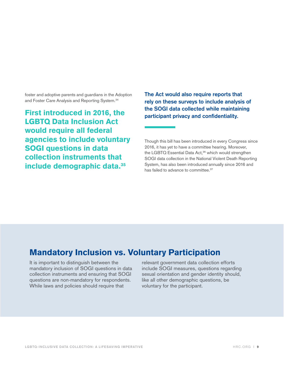foster and adoptive parents and guardians in the Adoption and Foster Care Analysis and Reporting System.34

First introduced in 2016, the LGBTQ Data Inclusion Act would require all federal agencies to include voluntary SOGI questions in data collection instruments that include demographic data.<sup>35</sup>

**The Act would also require reports that rely on these surveys to include analysis of the SOGI data collected while maintaining participant privacy and confidentiality.** 

Though this bill has been introduced in every Congress since 2016, it has yet to have a committee hearing. Moreover, the LGBTQ Essential Data Act,<sup>36</sup> which would strengthen SOGI data collection in the National Violent Death Reporting System, has also been introduced annually since 2016 and has failed to advance to committee.<sup>37</sup>

# Mandatory Inclusion vs. Voluntary Participation

It is important to distinguish between the mandatory inclusion of SOGI questions in data collection instruments and ensuring that SOGI questions are non-mandatory for respondents. While laws and policies should require that

relevant government data collection efforts include SOGI measures, questions regarding sexual orientation and gender identity should, like all other demographic questions, be voluntary for the participant.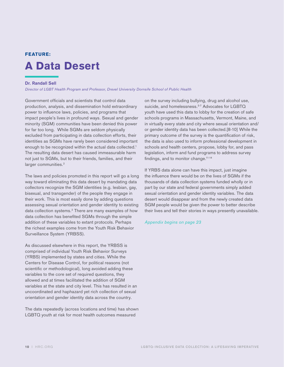#### FEATURE:

# A Data Desert

#### **Dr. Randall Sell**

*Director of LGBT Health Program and Professor, Drexel University Dornsife School of Public Health*

Government officials and scientists that control data production, analysis, and dissemination hold extraordinary power to influence laws, policies, and programs that impact people's lives in profound ways. Sexual and gender minority (SGM) communities have been denied this power for far too long. While SGMs are seldom physically excluded from participating in data collection efforts, their identities as SGMs have rarely been considered important enough to be recognized within the actual data collected.<sup>1</sup> The resulting data desert has caused immeasurable harm not just to SGMs, but to their friends, families, and their larger communities.<sup>2</sup>

The laws and policies promoted in this report will go a long way toward eliminating this data desert by mandating data collectors recognize the SGM identities (e.g. lesbian, gay, bisexual, and transgender) of the people they engage in their work. This is most easily done by adding questions assessing sexual orientation and gender identity to existing data collection systems.<sup>2</sup> There are many examples of how data collection has benefited SGMs through the simple addition of these variables to extant protocols. Perhaps the richest examples come from the Youth Risk Behavior Surveillance System (YRBSS).

As discussed elsewhere in this report, the YRBSS is comprised of individual Youth Risk Behavior Surveys (YRBS) implemented by states and cities. While the Centers for Disease Control, for political reasons (not scientific or methodological), long avoided adding these variables to the core set of required questions, they allowed and at times facilitated the addition of SGM variables at the state and city level. This has resulted in an uncoordinated and haphazard yet rich collection of sexual orientation and gender identity data across the country.

The data repeatedly (across locations and time) has shown LGBTQ youth at risk for most health outcomes measured

on the survey including bullying, drug and alcohol use, suicide, and homelessness.<sup>3-7</sup> Advocates for LGBTQ youth have used this data to lobby for the creation of safe schools programs in Massachusetts, Vermont, Maine, and in virtually every state and city where sexual orientation and/ or gender identity data has been collected.[8-10] While the primary outcome of the survey is the quantification of risk, the data is also used to inform professional development in schools and health centers, propose, lobby for, and pass legislation, inform and fund programs to address survey findings, and to monitor change.11-14

If YRBS data alone can have this impact, just imagine the influence there would be on the lives of SGMs if the thousands of data collection systems funded wholly or in part by our state and federal governments simply added sexual orientation and gender identity variables. The data desert would disappear and from the newly created data SGM people would be given the power to better describe their lives and tell their stories in ways presently unavailable.

*Appendix begins on page 23*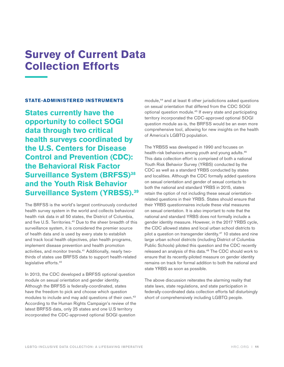# Survey of Current Data Collection Efforts

#### STATE-ADMINISTERED INSTRUMENTS

States currently have the opportunity to collect SOGI data through two critical health surveys coordinated by the U.S. Centers for Disease Control and Prevention (CDC): the Behavioral Risk Factor Surveillance System (BRFSS)<sup>38</sup> and the Youth Risk Behavior Surveillance System (YRBSS).<sup>39</sup>

The BRFSS is the world's largest continuously conducted health survey system in the world and collects behavioral health risk data in all 50 states, the District of Columbia, and five U.S. Territories.<sup>40</sup> Due to the sheer breadth of this surveillance system, it is considered the premier source of health data and is used by every state to establish and track local health objectives, plan health programs, implement disease prevention and health promotion activities, and monitor trends.<sup>41</sup> Additionally, nearly twothirds of states use BRFSS data to support health-related legislative efforts.42

In 2013, the CDC developed a BRFSS optional question module on sexual orientation and gender identity. Although the BRFSS is federally-coordinated, states have the freedom to pick and choose which question modules to include and may add questions of their own.43 According to the Human Rights Campaign's review of the latest BRFSS data, only 25 states and one U.S territory incorporated the CDC-approved optional SOGI question

module,44 and at least 6 other jurisdictions asked questions on sexual orientation that differed from the CDC SOGI optional question module.<sup>45</sup> If every state and participating territory incorporated the CDC-approved optional SOGI question module as-is, the BRFSS would be an even more comprehensive tool, allowing for new insights on the health of America's LGBTQ population.

The YRBSS was developed in 1990 and focuses on health-risk behaviors among youth and young adults.<sup>46</sup> This data collection effort is comprised of both a national Youth Risk Behavior Survey (YRBS) conducted by the CDC as well as a standard YRBS conducted by states and localities. Although the CDC formally added questions on sexual orientation and gender of sexual contacts to both the national and standard YRBS in 2015, states retain the option of not including these sexual orientationrelated questions in their YRBS. States should ensure that their YRBS questionnaires include these vital measures on sexual orientation. It is also important to note that the national and standard YRBS does not formally include a gender identity measure. However, in the 2017 YRBS cycle, the CDC allowed states and local urban school districts to pilot a question on transgender identity.<sup>47</sup> 10 states and nine large urban school districts (including District of Columbia Public Schools) piloted this question and the CDC recently released an analysis of this data.<sup>48</sup> The CDC should work to ensure that its recently-piloted measure on gender identity remains on track for formal addition to both the national and state YRBS as soon as possible.

The above discussion reiterates the alarming reality that state laws, state regulations, and state participation in federally-coordinated data collection efforts fall disturbingly short of comprehensively including LGBTQ people.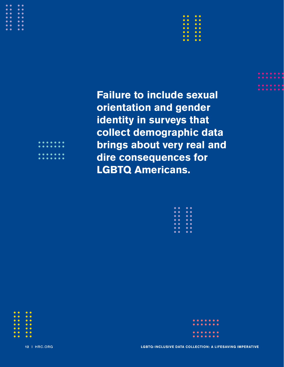

| $\bullet\;\bullet$ | $\bullet\;\bullet$ |
|--------------------|--------------------|
| $\bullet\;\bullet$ | $\bullet\;\bullet$ |
| $\bullet\;\bullet$ | $\bullet\;\bullet$ |
| $\bullet\;\bullet$ | $\bullet\;\bullet$ |
| $\bullet\;\bullet$ | $\bullet\;\bullet$ |
| $\bullet\;\bullet$ | $\bullet\;\bullet$ |
| $\bullet\;\bullet$ | $\bullet\;\bullet$ |
|                    |                    |

Failure to include sexual orientation and gender identity in surveys that collect demographic data brings about very real and dire consequences for LGBTQ Americans.

| $\bullet\;\bullet$  | $\bullet\;\bullet$  |
|---------------------|---------------------|
| $\bullet\; \bullet$ | $\bullet\bullet$    |
| $\bullet\bullet$    | $\bullet$ $\bullet$ |
| $\bullet\,\bullet$  | $\bullet$ $\bullet$ |
| $\bullet\;\bullet$  | $\bullet$ $\bullet$ |
| $\bullet\;\bullet$  | $\bullet\;\bullet$  |
| $\bullet\;\bullet$  | $\bullet\;\bullet$  |





 $\bullet\bullet\bullet\bullet\bullet$  $\begin{array}{ccccccccccccccccc} \bullet & \bullet & \bullet & \bullet & \bullet & \bullet & \bullet & \bullet & \bullet \end{array}$  $\bullet\bullet\bullet\bullet\bullet\bullet$ 

**12 |** HRC.ORG **LGBTQ-INCLUSIVE DATA COLLECTION: A LIFESAVING IMPERATIVE A**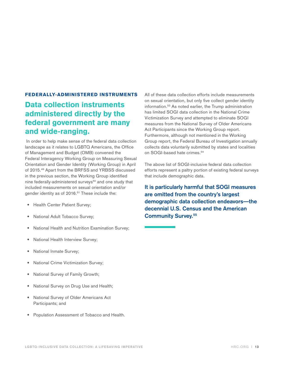#### FEDERALLY-ADMINISTERED INSTRUMENTS

### Data collection instruments administered directly by the federal government are many and wide-ranging.

 In order to help make sense of the federal data collection landscape as it relates to LGBTQ Americans, the Office of Management and Budget (OMB) convened the Federal Interagency Working Group on Measuring Sexual Orientation and Gender Identity (Working Group) in April of 2015.49 Apart from the BRFSS and YRBSS discussed in the previous section, the Working Group identified nine federally-administered surveys<sup>50</sup> and one study that included measurements on sexual orientation and/or gender identity as of 2016.<sup>51</sup> These include the:

- Health Center Patient Survey;
- National Adult Tobacco Survey;
- National Health and Nutrition Examination Survey;
- National Health Interview Survey;
- National Inmate Survey;
- National Crime Victimization Survey;
- National Survey of Family Growth;
- National Survey on Drug Use and Health;
- National Survey of Older Americans Act Participants; and
- Population Assessment of Tobacco and Health.

All of these data collection efforts include measurements on sexual orientation, but only five collect gender identity information.53 As noted earlier, the Trump administration has limited SOGI data collection in the National Crime Victimization Survey and attempted to eliminate SOGI measures from the National Survey of Older Americans Act Participants since the Working Group report. Furthermore, although not mentioned in the Working Group report, the Federal Bureau of Investigation annually collects data voluntarily submitted by states and localities on SOGI-based hate crimes.<sup>54</sup>

The above list of SOGI-inclusive federal data collection efforts represent a paltry portion of existing federal surveys that include demographic data.

**It is particularly harmful that SOGI measures are omitted from the country's largest demographic data collection endeavors—the decennial U.S. Census and the American Community Survey.55**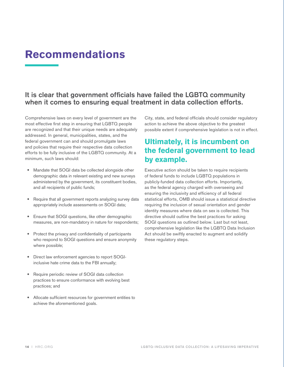# Recommendations

### **It is clear that government officials have failed the LGBTQ community when it comes to ensuring equal treatment in data collection efforts.**

Comprehensive laws on every level of government are the most effective first step in ensuring that LGBTQ people are recognized and that their unique needs are adequately addressed. In general, municipalities, states, and the federal government can and should promulgate laws and policies that require their respective data collection efforts to be fully inclusive of the LGBTQ community. At a minimum, such laws should:

- Mandate that SOGI data be collected alongside other demographic data in relevant existing and new surveys administered by the government, its constituent bodies, and all recipients of public funds;
- Require that all government reports analyzing survey data appropriately include assessments on SOGI data;
- Ensure that SOGI questions, like other demographic measures, are non-mandatory in nature for respondents;
- Protect the privacy and confidentiality of participants who respond to SOGI questions and ensure anonymity where possible;
- Direct law enforcement agencies to report SOGIinclusive hate crime data to the FBI annually;
- Require periodic review of SOGI data collection practices to ensure conformance with evolving best practices; and
- Allocate sufficient resources for government entities to achieve the aforementioned goals.

City, state, and federal officials should consider regulatory action to achieve the above objective to the greatest possible extent if comprehensive legislation is not in effect.

### Ultimately, it is incumbent on the federal government to lead by example.

Executive action should be taken to require recipients of federal funds to include LGBTQ populations in publicly-funded data collection efforts. Importantly, as the federal agency charged with overseeing and ensuring the inclusivity and efficiency of all federal statistical efforts, OMB should issue a statistical directive requiring the inclusion of sexual orientation and gender identity measures where data on sex is collected. This directive should outline the best practices for asking SOGI questions as outlined below. Last but not least, comprehensive legislation like the LGBTQ Data Inclusion Act should be swiftly enacted to augment and solidify these regulatory steps.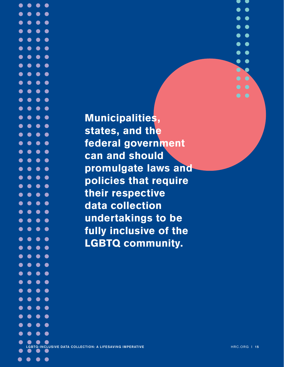Municipalities, states, and the federal government can and should promulgate laws and policies that require their respective data collection undertakings to be fully inclusive of the LGBTQ community.

 $\bullet$  $\bullet$  $\bullet$ 

O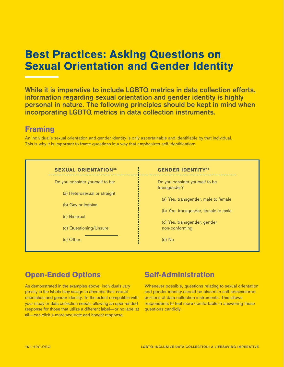# Best Practices: Asking Questions on Sexual Orientation and Gender Identity

**While it is imperative to include LGBTQ metrics in data collection efforts, information regarding sexual orientation and gender identity is highly personal in nature. The following principles should be kept in mind when incorporating LGBTQ metrics in data collection instruments.** 

### **Framing**

An individual's sexual orientation and gender identity is only ascertainable and identifiable by that individual. This is why it is important to frame questions in a way that emphasizes self-identification:



### Open-Ended Options

As demonstrated in the examples above, individuals vary greatly in the labels they assign to describe their sexual orientation and gender identity. To the extent compatible with your study or data collection needs, allowing an open-ended response for those that utilize a different label—or no label at all—can elicit a more accurate and honest response.

# Self-Administration

Whenever possible, questions relating to sexual orientation and gender identity should be placed in self-administered portions of data collection instruments. This allows respondents to feel more comfortable in answering these questions candidly.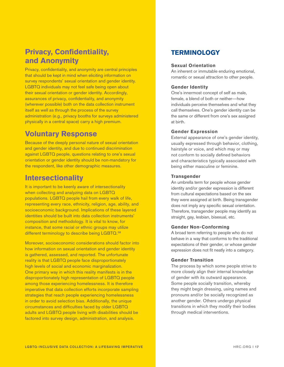# Privacy, Confidentiality, and Anonymity

Privacy, confidentiality, and anonymity are central principles that should be kept in mind when eliciting information on survey respondents' sexual orientation and gender identity. LGBTQ individuals may not feel safe being open about their sexual orientation or gender identity. Accordingly, assurances of privacy, confidentiality, and anonymity (wherever possible) both on the data collection instrument itself as well as through the process of the survey administration (e.g., privacy booths for surveys administered physically in a central space) carry a high premium.

### Voluntary Response

Because of the deeply personal nature of sexual orientation and gender identity, and due to continued discrimination against LGBTQ people, questions relating to one's sexual orientation or gender identity should be non-mandatory for the respondent, like other demographic measures.

### Intersectionality

It is important to be keenly aware of intersectionality when collecting and analyzing data on LGBTQ populations. LGBTQ people hail from every walk of life, representing every race, ethnicity, religion, age, ability, and socioeconomic background. Implications of these layered identities should be built into data collection instruments' composition and methodology. It is vital to know, for instance, that some racial or ethnic groups may utilize different terminology to describe being LGBTQ.<sup>58</sup>

Moreover, socioeconomic considerations should factor into how information on sexual orientation and gender identity is gathered, assessed, and reported. The unfortunate reality is that LGBTQ people face disproportionately high levels of social and economic marginalization. One primary way in which this reality manifests is in the disproportionately high representation of LGBTQ people among those experiencing homelessness. It is therefore imperative that data collection efforts incorporate sampling strategies that reach people experiencing homelessness in order to avoid selection bias. Additionally, the unique circumstances and difficulties faced by older LGBTQ adults and LGBTQ people living with disabilities should be factored into survey design, administration, and analysis.

### **TERMINOLOGY**

#### **Sexual Orientation**

An inherent or immutable enduring emotional, romantic or sexual attraction to other people.

### **Gender Identity**

One's innermost concept of self as male, female, a blend of both or neither—how individuals perceive themselves and what they call themselves. One's gender identity can be the same or different from one's sex assigned at birth.

#### **Gender Expression**

External appearance of one's gender identity, usually expressed through behavior, clothing, hairstyle or voice, and which may or may not conform to socially defined behaviors and characteristics typically associated with being either masculine or feminine.

#### **Transgender**

An umbrella term for people whose gender identity and/or gender expression is different from cultural expectations based on the sex they were assigned at birth. Being transgender does not imply any specific sexual orientation. Therefore, transgender people may identify as straight, gay, lesbian, bisexual, etc.

#### **Gender Non-Conforming**

A broad term referring to people who do not behave in a way that conforms to the traditional expectations of their gender, or whose gender expression does not fit neatly into a category.

#### **Gender Transition**

The process by which some people strive to more closely align their internal knowledge of gender with its outward appearance. Some people socially transition, whereby they might begin dressing, using names and pronouns and/or be socially recognized as another gender. Others undergo physical transitions in which they modify their bodies through medical interventions.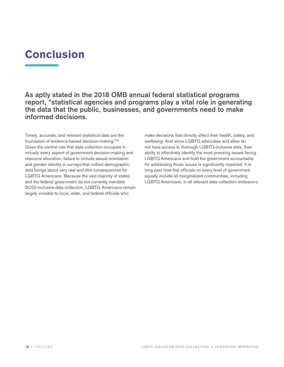# Conclusion

**As aptly stated in the 2018 OMB annual federal statistical programs report, "statistical agencies and programs play a vital role in generating the data that the public, businesses, and governments need to make informed decisions.** 

Timely, accurate, and relevant statistical data are the foundation of evidence-based decision-making."59 Given the central role that data collection occupies in virtually every aspect of government decision-making and resource allocation, failure to include sexual orientation and gender identity in surveys that collect demographic data brings about very real and dire consequences for LGBTQ Americans. Because the vast majority of states and the federal government do not currently mandate SOGI-inclusive data collection, LGBTQ Americans remain largely invisible to local, state, and federal officials who

make decisions that directly affect their health, safety, and wellbeing. And since LGBTQ advocates and allies do not have access to thorough LGBTQ-inclusive data, their ability to effectively identify the most pressing issues facing LGBTQ Americans and hold the government accountable for addressing those issues is significantly impaired. It is long past time that officials on every level of government equally include all marginalized communities, including LGBTQ Americans, in all relevant data collection endeavors.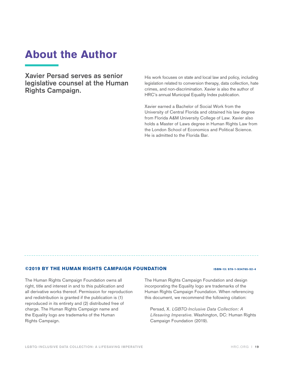# About the Author

**Xavier Persad serves as senior legislative counsel at the Human Rights Campaign.**

His work focuses on state and local law and policy, including legislation related to conversion therapy, data collection, hate crimes, and non-discrimination. Xavier is also the author of HRC's annual Municipal Equality Index publication.

Xavier earned a Bachelor of Social Work from the University of Central Florida and obtained his law degree from Florida A&M University College of Law. Xavier also holds a Master of Laws degree in Human Rights Law from the London School of Economics and Political Science. He is admitted to the Florida Bar.

#### **©2019 BY THE HUMAN RIGHTS CAMPAIGN FOUNDATION**

#### **ISBN-13: 978-1-934765-52-4**

The Human Rights Campaign Foundation owns all right, title and interest in and to this publication and all derivative works thereof. Permission for reproduction and redistribution is granted if the publication is (1) reproduced in its entirety and (2) distributed free of charge. The Human Rights Campaign name and the Equality logo are trademarks of the Human Rights Campaign.

The Human Rights Campaign Foundation and design incorporating the Equality logo are trademarks of the Human Rights Campaign Foundation. When referencing this document, we recommend the following citation:

Persad, X. *LGBTQ-Inclusive Data Collection: A Lifesaving Imperative*. Washington, DC: Human Rights Campaign Foundation (2019).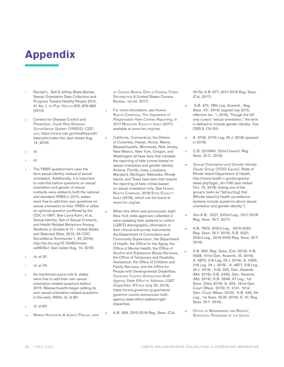# Appendix

- Randall L. Sell & Jeffrey Blake Becker, Sexual Orientation Data Collection and Progress Toward Healthy People 2010, 91 Am. J. of Pub. Health 876, 876-882 (2010).
- <sup>2</sup> Centers for Disease Control and Prevention, *Youth Risk Behavior Surveillance System (YRBSS)*, CDC. gov, https://www.cdc.gov/healthyyouth/ data/yrbs/index.htm (last visited Aug. 14, 2019).
- <sup>3</sup> *Id.*
- <sup>4</sup> *Id.*
- The YRBS questionnaire uses the term sexual identity instead of sexual orientation. Additionally, it is important to note that before questions on sexual orientation and gender of sexual contacts were added to both the national and standard YRBS in 2015, states were free to add their own questions on sexual orientation to their YRBS or utilize an optional question proffered by the CDC in 1997. See Laura Kann, et al., Sexual Identity, Sex of Sexual Contacts, and Health Related Behaviors Among Students in Grades 9-12 – United States and Selected Sites, 2015, 65 CDC Surveillance Summaries 1, 20 (2016), http://dx.doi.org/10.15585/mmwr. ss6509a1 (last visited Aug. 14, 2019).
- <sup>6</sup> *Id.* at 20.
- <sup>7</sup> *Id.* at 79.
- As mentioned supra note 5, states were free to add their own sexual orientation-related questions before 2015. Massachusetts began adding its own sexual orientation-related questions in the early 1990s. Id. at 80.
- <sup>9</sup> *Id.* at 80.
- MARISA HOTCHKISS & JESSICA PHELAN, USES

of Census Bureau Data in Federal Funds **DISTRIBUTION 8 (United States Census** Bureau, 1st ed. 2017).

- 11 For more information, see HUMAN Rights Campaign, *The Imperative of Responsible Hate Crimes Reporting*, in 2017 Municipal Equality Index (2017), available at www.hrc.org/mei.
- 12 California, Connecticut, the District of Columbia, Hawaii, Illinois, Maine, Massachusetts, Minnesota, New Jersey, New Mexico, New York, Oregon, and Washington all have laws that mandate the reporting of hate crimes based on sexual orientation and gender identity. Arizona, Florida, Iowa, Louisiana, Maryland, Michigan, Nebraska, Rhode Island, and Texas have laws that require the reporting of hate crimes based on sexual orientation only. See Human RIGHTS CAMPAIGN, 2018 STATE EQUALITY INDEX (2018), which can be found at www.hrc.org/sei.
- <sup>13</sup> When this effort was announced, eight New York state agencies collected or were updating their systems to collect LGBTQ demographic information in their clinical and survey instruments: the Department of Corrections and Community Supervision, the Department of Health, the Office for the Aging, the Office of Mental Health, the Office of Alcohol and Substance Abuse Services, the Office of Temporary and Disability Assistance, the Office of Children and Family Services, and the Office for People with Developmental Disabilities. *Governor Cuomo Announces Multi-Agency State Effort to Address LGBT Disparities*, NY.gov (July 23, 2014), https://www.governor.ny.gov/news/ governor-cuomo-announces-multiagency-state-effort-address-lgbtdisparities.
	- A.B. 959, 2015-2016 Reg. Sess. (Cal.

2015); A.B. 677, 2017-2018 Reg. Sess. (Cal. 2017).

- 15 S.B. 473, 78th Leg. Assemb., Reg. Sess. (Or. 2014) (signed July 2015, effective Jan. 1, 2016). Though the bill only covers "sexual orientation," the term is defined to include gender identity. *See* ORS § 174.100.
- <sup>16</sup> A. 3739, 217th Leg. (N.J. 2018) (passed in 2018).
- <sup>17</sup> C.B. 22-0840, 22nd Council, Reg. Sess. (D.C. 2019).
- <sup>18</sup> *Sexual Orientation and Gender Identity Equity Group (SOGI Equity)*, State of Rhode Island Department of Health, http://www.health.ri.gov/programs/ detail.php?pgm\_id=1106 (last visited Oct. 15, 2018) (listing one of the group's tasks as "[e]nsur[ing] that [Rhode Island's] health surveillance systems include questions about sexual orientation and gender identity.")
- <sup>19</sup> *See* A.B. 2227, 202nd Leg., 2017-2018 Reg. Sess. (N.Y. 2017).
- <sup>20</sup> A.B. 7929, 203rd Leg., 2019-2020 Reg. Sess. (N.Y. 2019); S.B. 6321, 203rd Leg., 2019-2020 Reg. Sess. (N.Y. 2019).
- <sup>21</sup> A.B. 650, Reg. Sess. (Cal. 2019); H.B. 0928, 101st Gen. Assemb, (Ill. 2019); A. 4870, 218 Leg. (N.J. 2019); S. 3383, 218 Leg. (N.J. 2019) , A. 4877, 218 Leg. (N.J. 2019) ; H.B. 320, Gen. Assemb. (Md. 2019); S.B. 0455, Gen. Assemb. (Md. 2019); H.B. 2648, 57 Leg., 1st Sess. (Okla 2019); S. 905, 191st Gen. Court (Mass. 2019); H. 2141, 191st Gen. Court (Mass. 2019); S.B. 430, 54 Leg., 1st Sess. (N.M. 2019); S. 47, Reg. Sess. (N.Y. 2019).
- 22 OFFICE OF MANAGEMENT AND BUDGET, Statistical Programs of the United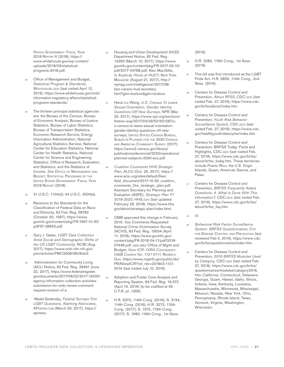States Government: Fiscal Year 2018 Report 6 (2018), https:// www.whitehouse.gov/wp-content/ uploads/2018/05/statisticalprograms-2018.pdf.

- <sup>23</sup> Office of Management and Budget, *Statistical Program & Standards*, WHITEHOUSE.GOV (last visited April 12, 2019), https://www.whitehouse.gov/omb/ information-regulatory-affairs/statisticalprograms-standards/.
- The thirteen principal statistical agencies are: the Bureau of the Census, Bureau of Economic Analysis, Bureau of Justice Statistics, Bureau of Labor Statistics, Bureau of Transportation Statistics, Economic Research Service, Energy Information Administration, National Agricultural Statistics Service, National Center for Education Statistics, National Center for Health Statistics, National Center for Science and Engineering Statistics, Office of Research, Evaluation, and Statistics, and the Statistics of Income. *See* Office of Management and BUDGET, STATISTICAL PROGRAMS OF THE United States Government: Fiscal Year 2018 Report (2018).
- <sup>25</sup> 31 U.S.C. 1104(d); 44 U.S.C. 3504(e).
- Revisions to the Standards for the Classification of Federal Data on Race and Ethnicity, 62 Fed. Reg. 58782 (October 30, 1997), https://www. govinfo.gov/content/pkg/FR-1997-10-30/ pdf/97-28653.pdf.
- <sup>27</sup> Gary J. Gates, *LGBT Data Collection Amid Social and Demographic Shifts of the US LGBT Community*, NCBI (Aug. 2017), https://www.ncbi.nlm.nih.gov/ pmc/articles/PMC5508189/#bib2.
- Administration for Community Living (ACL) Notice, 82 Fed. Reg. 28491 (June 22, 2017), https://www.federalregister. gov/documents/2017/06/22/2017-13030/ agency-information-collection-activitiessubmission-for-omb-review-commentrequest-revision-of-a.
- 29 Madd Sedensky, *Federal Surveys Trim LGBT Questions, Alarming Advocates*, APnews.com (March 20, 2017), https:// apnews.
- <sup>30</sup> Housing and Urban Development (HUD) Department Notice, 82 Fed. Reg. 13359 (March 10, 2017), https://www. govinfo.gov/content/pkg/FR-2017-03-10/ pdf/2017-04788.pdf; Alec MacGillis, *Is Anybody Home at HUD?*, New York Magazine (August 21, 2017), http:// nymag.com/intelligencer/2017/08/ ben-carson-hud-secretary. html?gtm=bottom&gtm=bottom.
- <sup>31</sup> Hansi Lo Wang, *U.S. Census To Leave Sexual Orientation, Gender Identity Questions Off New Surveys*, NPR (Mar. 29, 2017), https://www.npr.org/sections/ thetwo-way/2017/03/29/521921287/us-census-to-leave-sexual-orientationgender-identity-questions-off-newsurveys; United States Census Bureau, Subjects Planned for the 2020 Census and American Community Survey (2017), https://www2.census.gov/library/ publications/decennial/2020/operations/ planned-subjects-2020-acs.pdf.
- <sup>32</sup> *Coalition Comments HHS Strategic Plan*, ALCU (Oct. 26, 2017), https:// www.aclu.org/sites/default/files/ field\_document/2017-10-26\_coalition\_ comments\_hhs\_strategic\_plan.pdf; Assistant Secretary for Planning and Evaluation (ASPE), *Strategic Plan FY 2018-2020*, HHS.gov (last updated February 28, 2018), https://www.hhs. gov/about/strategic-plan/index.html.
- <sup>33</sup> OMB approved this change in February 2019. *See* Comments Requested: National Crime Victimization Survey (NCVS), 83 Fed. Reg. 15634 (April 11, 2018), https://www.govinfo.gov/ content/pkg/FR-2018-04-11/pdf/2018- 07448.pdf; *see also* Office of Mgmt and Budget, *View ICR--OIRA Conclusion: OMB Control No. 1121-0111,* RegInfo. Gov, https://www.reginfo.gov/public/do/ PRAViewICR?ref\_nbr=201803-1121- 001# (last visited July 10, 2019).
- <sup>34</sup> Adoption and Foster Care Analysis and Reporting System, 84 Fed. Reg. 16,572 (April 19, 2019) (to be codified at 45 C.F.R. pt. 1355).
- <sup>35</sup> H.R. 5373, 114th Cong. (2016); S. 3134, 114th Cong. (2016); H.R. 3273, 115th Cong. (2017); S. 1570, 115th Cong. (2017); S. 1980, 116th Cong., 1st Sess.

(2019).

- <sup>36</sup> H.R. 3280, 116th Cong., 1st Sess.  $(2019)$ .
- <sup>37</sup> This bill was first introduced as the LGBT Pride Act. H.R. 5855, 114th Cong., 2nd Sess. (2016).
- <sup>38</sup> Centers for Disease Control and Prevention, *About RFSS*, CDC.gov (last visited Feb. 27, 2019), https://www.cdc. gov/brfss/about/index.htm
- 39 Centers for Disease Control and Prevention, *Youth Risk Behavior Surveillance System*, CDC.gov (last visited Feb. 27, 2019), https://www.cdc. gov/healthyyouth/data/yrbs/index.htm
- <sup>40</sup> Centers for Disease Control and Prevention, BRFSS Today: Facts and Highlights, CDC.gov (last visited Feb. 27, 2019), https://www.cdc.gov/brfss/ about/brfss\_today.htm. These territories include Puerto Rico, the U.S. Virgin Islands, Guam, American Samoa, and Palau.
- <sup>41</sup> Centers for Disease Control and Prevention, *BRFSS Frequently Asked Questions: 4. What is Done With This Information?*, CDC.gov (last visited Feb. 27, 2019), https://www.cdc.gov/brfss/ about/brfss\_faq.htm.
- <sup>42</sup> *Id*.
- <sup>43</sup> *Behavioral Risk Factor Surveillance*  **System: BRFSS Questionnaires, CTR.** for Disease Control and Prevention (last reviewed Feb 5, 2019), https://www.cdc. gov/brfss/questionnaires/index.htm.
- <sup>44</sup> Centers for Disease Control and Prevention, *2016 BRFSS Modules Used by Category*, CDC.gov (last visited Feb. 27, 2019), https://www.cdc.gov/brfss/ questionnaires/modules/category2016. htm; California, Connecticut, Delaware, Georgia, Guam, Hawaii, Idaho, Illinois, Indiana, Iowa, Kentucky, Louisiana, Massachusetts, Minnesota, Mississippi, Missouri, Nevada, New York, Ohio, Pennsylvania, Rhode Island, Texas, Vermont, Virginia, Washington, Wisconsin.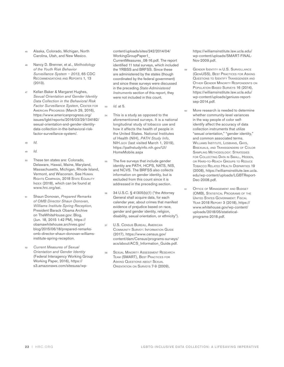- Alaska, Colorado, Michigan, North Carolina, Utah, and New Mexico.
- <sup>46</sup> Nancy D. Brenner, et al., *Methodology of the Youth Risk Behavior Surveillance System – 2013*, 65 CDC Recommendations and Reports 1, 13 (2013).
- Kellan Baker & Margaret Hughes, *Sexual Orientation and Gender Identity Data Collection in the Behavioral Risk Factor Surveillance System, CENTER FOR* American Progress (March 29, 2016), https://www.americanprogress.org/ issues/lgbt/reports/2016/03/29/134182/ sexual-orientation-and-gender-identitydata-collection-in-the-behavioral-riskfactor-surveillance-system/.
- <sup>48</sup> *Id*.
- $Id$
- These ten states are: Colorado, Delaware, Hawaii, Maine, Maryland, Massachusetts, Michigan, Rhode Island, Vermont, and Wisconsin. See Human RIGHTS CAMPAIGN, 2018 STATE EQUALITY INDEX (2018), which can be found at www.hrc.org/sei.
- <sup>51</sup> Shaun Donovan, *Prepared Remarks of OMB Director Shaun Donovan, Williams Institute Spring Reception*, President Barack Obama Archive on TheWhiteHouse.gov: Blog, (Jun. 18, 2015 1:42 PM), https:// obamawhitehouse.archives.gov/ blog/2015/06/18/prepared-remarksomb-director-shaun-donovan-williamsinstitute-spring-reception.
- <sup>52</sup> *Current Measures of Sexual Orientation and Gender Identity* (Federal Interagency Working Group Working Paper, 2016), https:// s3.amazonaws.com/sitesusa/wp-

content/uploads/sites/242/2014/04/ WorkingGroupPaper1\_

CurrentMeasures\_08-16.pdf. The report identified 11 total surveys, which included the YRBSS and BRFSS. Since these are administered by the states (though coordinated by the federal government) and since these surveys were discussed in the preceding *State-Administered Instruments* section of this report, they were not included in this count.

- <sup>53</sup> *Id.* at 5.
- <sup>54</sup> This is a study as opposed to the aforementioned surveys. It is a national longitudinal study of tobacco use and how it affects the health of people in the United States. National Institutes of Health (NIH), *PATH Study Info*, NIH.gov (last visited March 1, 2019), https://pathstudyinfo.nih.gov/UI/ HomeMobile.aspx
- <sup>55</sup> The five surveys that include gender identity are PATH, HCPS, NATS, NIS, and NCVS. The BRFSS also collects information on gender identity, but is excluded from this count since it is addressed in the preceding section.
- <sup>56</sup> 34 U.S.C. § 41305(b)(1) ("the Attorney General shall acquire data, for each calendar year, about crimes that manifest evidence of prejudice based on race, gender and gender identity, religion, disability, sexual orientation, or ethnicity").
- U.S. CENSUS BUREAU, AMERICAN Community Survey: Information Guide (2017), https://www.census.gov/ content/dam/Census/programs-surveys/ acs/about/ACS\_Information\_Guide.pdf.
- <sup>58</sup> Sexual Minority Assessment Research Team (SMART), Best Practices for **ASKING QUESTIONS ABOUT SEXUAL** Orientation on Surveys 7-9 (2009),

https://williamsinstitute.law.ucla.edu/ wp-content/uploads/SMART-FINAL-Nov-2009.pdf.

<sup>59</sup> Gender Identity in U.S. Surveillance (GeniUSS), Best Practices for Asking Questions to Identify Transgender and Other Gender Minority Respondents on POPULATION-BASED SURVEYS 16 (2014), https://williamsinstitute.law.ucla.edu/ wp-content/uploads/geniuss-reportsep-2014.pdf.

<sup>60</sup> More research is needed to determine whether community-level variances in the way people of color selfidentify affect the accuracy of data collection instruments that utilize "sexual orientation," "gender identity," and common associated terms. Williams Institute, Lesbians, Gays, Bisexuals, and Transgenders of Color Sampling Methodology: Strategies for Collecting Data in Small, Hidden, or Hard-to-Reach Groups to Reduce Tobacco Related Health Disparities 19 (2008), https://williamsinstitute.law.ucla. edu/wp-content/uploads/LGBTReport-Dec-2008.pdf.

**61 OFFICE OF MANAGEMENT AND BUDGET** (OMB), Statistical Programs of the United States Government: Fiscal Year 2018 Report 3 (2018), https:// www.whitehouse.gov/wp-content/ uploads/2018/05/statisticalprograms-2018.pdf.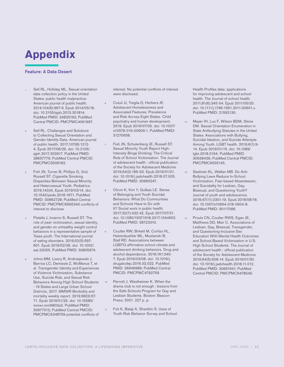# Appendix

#### **Feature: A Data Desert**

- Sell RL, Holliday ML. Sexual orientation data collection policy in the United States: public health malpractice. American journal of public health. 2014;104(6):967-9. Epub 2014/05/16. doi: 10.2105/ajph.2013.301814. PubMed PMID: 24825192; PubMed Central PMCID: PMCPMC4061997.
- Sell RL. Challenges and Solutions to Collecting Sexual Orientation and Gender Identity Data. American journal of public health. 2017;107(8):1212- 4. Epub 2017/06/29. doi: 10.2105/ ajph.2017.303917. PubMed PMID: 28657779; PubMed Central PMCID: PMCPMC5508182.
- Fish JN, Turner B, Phillips G, 2nd, Russell ST. Cigarette Smoking Disparities Between Sexual Minority and Heterosexual Youth. Pediatrics. 2019;143(4). Epub 2019/03/14. doi: 10.1542/peds.2018-1671. PubMed PMID: 30862728; PubMed Central PMCID: PMCPMC6565340 conflicts of interest to disclose.
- Pistella J, Ioverno S, Russell ST. The role of peer victimization, sexual identity, and gender on unhealthy weight control behaviors in a representative sample of Texas youth. The International journal of eating disorders. 2019;52(5):597- 601. Epub 2019/02/26. doi: 10.1002/ eat.23055. PubMed PMID: 30805974.
- Johns MM, Lowry R, Andrzejewski J, Barrios LC, Demissie Z, McManus T, et al. Transgender Identity and Experiences of Violence Victimization, Substance Use, Suicide Risk, and Sexual Risk Behaviors Among High School Students - 19 States and Large Urban School Districts, 2017. MMWR Morbidity and mortality weekly report. 2019;68(3):67- 71. Epub 2019/01/25. doi: 10.15585/ mmwr.mm6803a3. PubMed PMID: 30677012; PubMed Central PMCID: PMCPMC6348759 potential conflicts of

interest. No potential conflicts of interest were disclosed.

- <sup>6</sup> Cutuli JJ, Treglia D, Herbers JE. Adolescent Homelessness and Associated Features: Prevalence and Risk Across Eight States. Child psychiatry and human development. 2019. Epub 2019/07/05. doi: 10.1007/ s10578-019-00909-1. PubMed PMID: 31270658.
- Fish JN, Schulenberg JE, Russell ST. Sexual Minority Youth Report High-Intensity Binge Drinking: The Critical Role of School Victimization. The Journal of adolescent health : official publication of the Society for Adolescent Medicine. 2019;64(2):186-93. Epub 2019/01/21. doi: 10.1016/j.jadohealth.2018.07.005. PubMed PMID: 30660247.
- <sup>8</sup> Olcon K, Kim Y, Gulbas LE. Sense of Belonging and Youth Suicidal Behaviors: What Do Communities and Schools Have to Do with It? Social work in public health. 2017;32(7):432-42. Epub 2017/07/21. doi: 10.1080/19371918.2017.1344602. PubMed PMID: 28723310.
- <sup>9</sup> Coulter RW, Birkett M, Corliss HL, Hatzenbuehler ML, Mustanski B, Stall RD. Associations between LGBTQ-affirmative school climate and adolescent drinking behaviors. Drug and alcohol dependence. 2016;161:340- 7. Epub 2016/03/08. doi: 10.1016/j. drugalcdep.2016.02.022. PubMed PMID: 26946989; PubMed Central PMCID: PMCPMC4792759.
- <sup>10</sup> Perrotti J, Westheimer K. When the drama club is not enough : lessons from the Safe Schools Program for Gay and Lesbian Students. Boston: Beacon Press; 2001. 227 p. p.
- <sup>11</sup> Foti K, Balaji A, Shanklin S. Uses of Youth Risk Behavior Survey and School

Health Profiles data: applications for improving adolescent and school health. The Journal of school health. 2011;81(6):345-54. Epub 2011/05/20. doi: 10.1111/j.1746-1561.2011.00601.x. PubMed PMID: 21592130.

- Meyer IH, Luo F, Wilson BDM, Stone DM. Sexual Orientation Enumeration in State Antibullying Statutes in the United States: Associations with Bullying, Suicidal Ideation, and Suicide Attempts Among Youth. LGBT health. 2019;6(1):9- 14. Epub 2019/01/15. doi: 10.1089/ lgbt.2018.0194. PubMed PMID: 30638436; PubMed Central PMCID: PMCPMC6555145.
- <sup>13</sup> Seelman KL, Walker MB. Do Anti-Bullying Laws Reduce In-School Victimization, Fear-based Absenteeism, and Suicidality for Lesbian, Gay, Bisexual, and Questioning Youth? Journal of youth and adolescence. 2018;47(11):2301-19. Epub 2018/08/18. doi: 10.1007/s10964-018-0904-8. PubMed PMID: 30117086.
- 14 Proulx CN, Coulter RWS, Egan JE, Matthews DD, Mair C. Associations of Lesbian, Gay, Bisexual, Transgender, and Questioning-Inclusive Sex Education With Mental Health Outcomes and School-Based Victimization in U.S. High School Students. The Journal of adolescent health : official publication of the Society for Adolescent Medicine. 2019;64(5):608-14. Epub 2019/01/30. doi: 10.1016/j.jadohealth.2018.11.012. PubMed PMID: 30691941; PubMed Central PMCID: PMCPMC6478545.